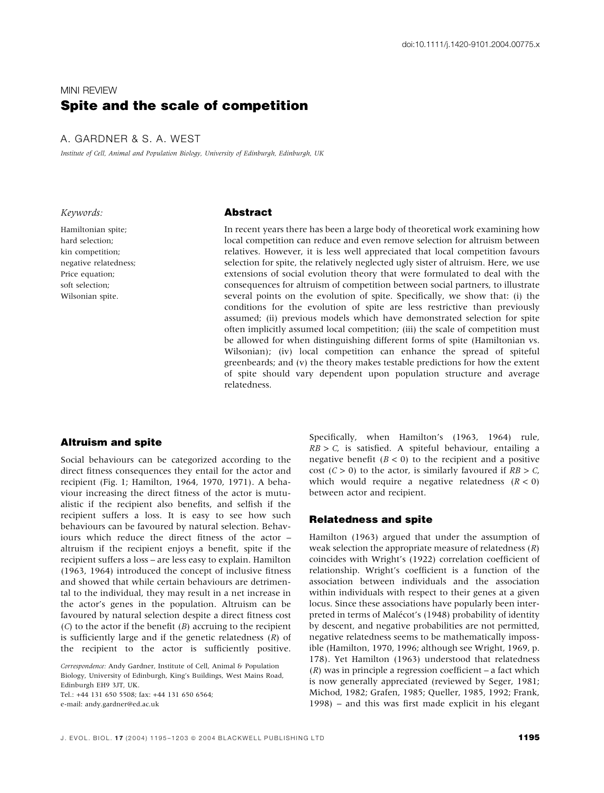# MINI REVIEW Spite and the scale of competition

# A. GARDNER & S. A. WEST

Institute of Cell, Animal and Population Biology, University of Edinburgh, Edinburgh, UK

#### Keywords:

Hamiltonian spite; hard selection; kin competition; negative relatedness; Price equation; soft selection; Wilsonian spite.

# Abstract

In recent years there has been a large body of theoretical work examining how local competition can reduce and even remove selection for altruism between relatives. However, it is less well appreciated that local competition favours selection for spite, the relatively neglected ugly sister of altruism. Here, we use extensions of social evolution theory that were formulated to deal with the consequences for altruism of competition between social partners, to illustrate several points on the evolution of spite. Specifically, we show that: (i) the conditions for the evolution of spite are less restrictive than previously assumed; (ii) previous models which have demonstrated selection for spite often implicitly assumed local competition; (iii) the scale of competition must be allowed for when distinguishing different forms of spite (Hamiltonian vs. Wilsonian); (iv) local competition can enhance the spread of spiteful greenbeards; and (v) the theory makes testable predictions for how the extent of spite should vary dependent upon population structure and average relatedness.

# Altruism and spite

Social behaviours can be categorized according to the direct fitness consequences they entail for the actor and recipient (Fig. 1; Hamilton, 1964, 1970, 1971). A behaviour increasing the direct fitness of the actor is mutualistic if the recipient also benefits, and selfish if the recipient suffers a loss. It is easy to see how such behaviours can be favoured by natural selection. Behaviours which reduce the direct fitness of the actor – altruism if the recipient enjoys a benefit, spite if the recipient suffers a loss – are less easy to explain. Hamilton (1963, 1964) introduced the concept of inclusive fitness and showed that while certain behaviours are detrimental to the individual, they may result in a net increase in the actor's genes in the population. Altruism can be favoured by natural selection despite a direct fitness cost  $(C)$  to the actor if the benefit  $(B)$  accruing to the recipient is sufficiently large and if the genetic relatedness  $(R)$  of the recipient to the actor is sufficiently positive.

Tel.: +44 131 650 5508; fax: +44 131 650 6564; e-mail: andy.gardner@ed.ac.uk

Specifically, when Hamilton's (1963, 1964) rule,  $RB > C$ , is satisfied. A spiteful behaviour, entailing a negative benefit  $(B < 0)$  to the recipient and a positive cost  $(C > 0)$  to the actor, is similarly favoured if  $RB > C$ , which would require a negative relatedness  $(R < 0)$ between actor and recipient.

#### Relatedness and spite

Hamilton (1963) argued that under the assumption of weak selection the appropriate measure of relatedness  $(R)$ coincides with Wright's (1922) correlation coefficient of relationship. Wright's coefficient is a function of the association between individuals and the association within individuals with respect to their genes at a given locus. Since these associations have popularly been interpreted in terms of Malécot's (1948) probability of identity by descent, and negative probabilities are not permitted, negative relatedness seems to be mathematically impossible (Hamilton, 1970, 1996; although see Wright, 1969, p. 178). Yet Hamilton (1963) understood that relatedness  $(R)$  was in principle a regression coefficient – a fact which is now generally appreciated (reviewed by Seger, 1981; Michod, 1982; Grafen, 1985; Queller, 1985, 1992; Frank, 1998) – and this was first made explicit in his elegant

Correspondence: Andy Gardner, Institute of Cell, Animal & Population Biology, University of Edinburgh, King's Buildings, West Mains Road, Edinburgh EH9 3JT, UK.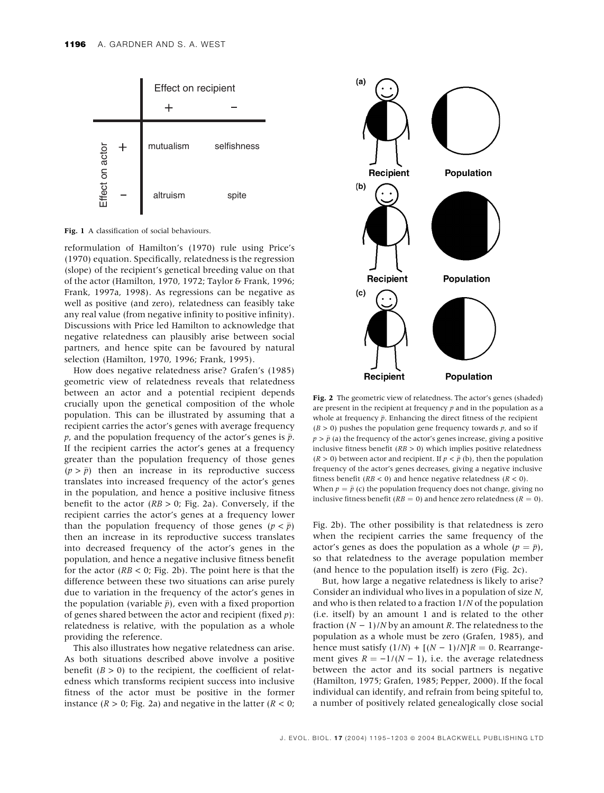

Fig. 1 A classification of social behaviours.

reformulation of Hamilton's (1970) rule using Price's (1970) equation. Specifically, relatedness is the regression (slope) of the recipient's genetical breeding value on that of the actor (Hamilton, 1970, 1972; Taylor & Frank, 1996; Frank, 1997a, 1998). As regressions can be negative as well as positive (and zero), relatedness can feasibly take any real value (from negative infinity to positive infinity). Discussions with Price led Hamilton to acknowledge that negative relatedness can plausibly arise between social partners, and hence spite can be favoured by natural selection (Hamilton, 1970, 1996; Frank, 1995).

How does negative relatedness arise? Grafen's (1985) geometric view of relatedness reveals that relatedness between an actor and a potential recipient depends crucially upon the genetical composition of the whole population. This can be illustrated by assuming that a recipient carries the actor's genes with average frequency *p*, and the population frequency of the actor's genes is  $\bar{p}$ . If the recipient carries the actor's genes at a frequency greater than the population frequency of those genes  $(p > \bar{p})$  then an increase in its reproductive success translates into increased frequency of the actor's genes in the population, and hence a positive inclusive fitness benefit to the actor  $(RB > 0; Fig. 2a)$ . Conversely, if the recipient carries the actor's genes at a frequency lower than the population frequency of those genes  $(p < \bar{p})$ then an increase in its reproductive success translates into decreased frequency of the actor's genes in the population, and hence a negative inclusive fitness benefit for the actor ( $RB < 0$ ; Fig. 2b). The point here is that the difference between these two situations can arise purely due to variation in the frequency of the actor's genes in the population (variable  $\bar{p}$ ), even with a fixed proportion of genes shared between the actor and recipient (fixed  $p$ ): relatedness is relative, with the population as a whole providing the reference.

This also illustrates how negative relatedness can arise. As both situations described above involve a positive benefit ( $B > 0$ ) to the recipient, the coefficient of relatedness which transforms recipient success into inclusive fitness of the actor must be positive in the former instance  $(R > 0$ : Fig. 2a) and negative in the latter  $(R < 0)$ :



Fig. 2 The geometric view of relatedness. The actor's genes (shaded) are present in the recipient at frequency  $\boldsymbol{p}$  and in the population as a whole at frequency  $\bar{p}$ . Enhancing the direct fitness of the recipient  $(B > 0)$  pushes the population gene frequency towards p, and so if  $p > \bar{p}$  (a) the frequency of the actor's genes increase, giving a positive inclusive fitness benefit ( $RB > 0$ ) which implies positive relatedness ( $R > 0$ ) between actor and recipient. If  $p < \bar{p}$  (b), then the population frequency of the actor's genes decreases, giving a negative inclusive fitness benefit ( $RB < 0$ ) and hence negative relatedness ( $R < 0$ ). When  $p = \bar{p}$  (c) the population frequency does not change, giving no inclusive fitness benefit ( $RB = 0$ ) and hence zero relatedness ( $R = 0$ ).

Fig. 2b). The other possibility is that relatedness is zero when the recipient carries the same frequency of the actor's genes as does the population as a whole  $(p = \bar{p})$ , so that relatedness to the average population member (and hence to the population itself) is zero (Fig. 2c).

But, how large a negative relatedness is likely to arise? Consider an individual who lives in a population of size N, and who is then related to a fraction 1/N of the population (i.e. itself) by an amount 1 and is related to the other fraction  $(N - 1)/N$  by an amount R. The relatedness to the population as a whole must be zero (Grafen, 1985), and hence must satisfy  $(1/N) + [(N - 1)/N]R = 0$ . Rearrangement gives  $R = -1/(N - 1)$ , i.e. the average relatedness between the actor and its social partners is negative (Hamilton, 1975; Grafen, 1985; Pepper, 2000). If the focal individual can identify, and refrain from being spiteful to, a number of positively related genealogically close social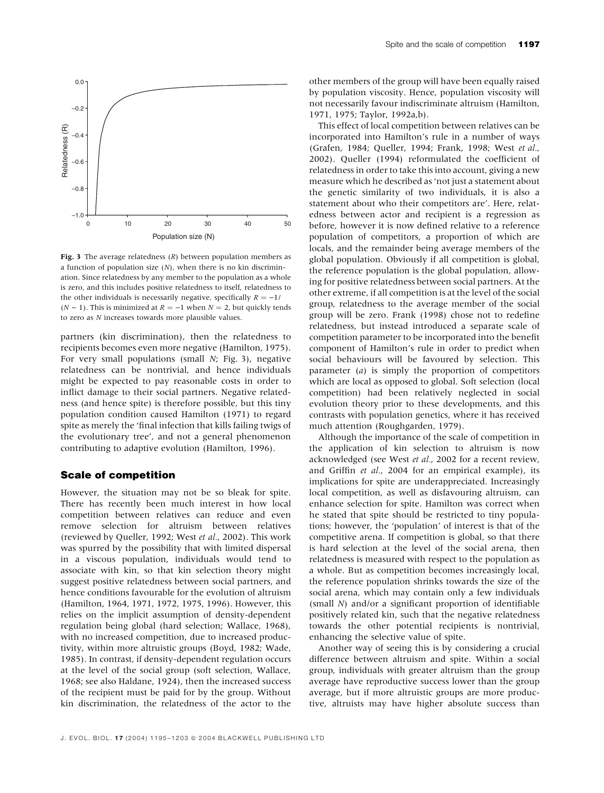



**Fig. 3** The average relatedness  $(R)$  between population members as a function of population size  $(N)$ , when there is no kin discrimination. Since relatedness by any member to the population as a whole is zero, and this includes positive relatedness to itself, relatedness to the other individuals is necessarily negative, specifically  $R = -1/2$  $(N - 1)$ . This is minimized at  $R = -1$  when  $N = 2$ , but quickly tends to zero as N increases towards more plausible values.

partners (kin discrimination), then the relatedness to recipients becomes even more negative (Hamilton, 1975). For very small populations (small  $N$ ; Fig. 3), negative relatedness can be nontrivial, and hence individuals might be expected to pay reasonable costs in order to inflict damage to their social partners. Negative relatedness (and hence spite) is therefore possible, but this tiny population condition caused Hamilton (1971) to regard spite as merely the 'final infection that kills failing twigs of the evolutionary tree', and not a general phenomenon contributing to adaptive evolution (Hamilton, 1996).

## Scale of competition

However, the situation may not be so bleak for spite. There has recently been much interest in how local competition between relatives can reduce and even remove selection for altruism between relatives (reviewed by Queller, 1992; West et al., 2002). This work was spurred by the possibility that with limited dispersal in a viscous population, individuals would tend to associate with kin, so that kin selection theory might suggest positive relatedness between social partners, and hence conditions favourable for the evolution of altruism (Hamilton, 1964, 1971, 1972, 1975, 1996). However, this relies on the implicit assumption of density-dependent regulation being global (hard selection; Wallace, 1968), with no increased competition, due to increased productivity, within more altruistic groups (Boyd, 1982; Wade, 1985). In contrast, if density-dependent regulation occurs at the level of the social group (soft selection, Wallace, 1968; see also Haldane, 1924), then the increased success of the recipient must be paid for by the group. Without kin discrimination, the relatedness of the actor to the

other members of the group will have been equally raised by population viscosity. Hence, population viscosity will not necessarily favour indiscriminate altruism (Hamilton, 1971, 1975; Taylor, 1992a,b).

This effect of local competition between relatives can be incorporated into Hamilton's rule in a number of ways (Grafen, 1984; Queller, 1994; Frank, 1998; West et al., 2002). Queller (1994) reformulated the coefficient of relatedness in order to take this into account, giving a new measure which he described as 'not just a statement about the genetic similarity of two individuals, it is also a statement about who their competitors are'. Here, relatedness between actor and recipient is a regression as before, however it is now defined relative to a reference population of competitors, a proportion of which are locals, and the remainder being average members of the global population. Obviously if all competition is global, the reference population is the global population, allowing for positive relatedness between social partners. At the other extreme, if all competition is at the level of the social group, relatedness to the average member of the social group will be zero. Frank (1998) chose not to redefine relatedness, but instead introduced a separate scale of competition parameter to be incorporated into the benefit component of Hamilton's rule in order to predict when social behaviours will be favoured by selection. This parameter  $(a)$  is simply the proportion of competitors which are local as opposed to global. Soft selection (local competition) had been relatively neglected in social evolution theory prior to these developments, and this contrasts with population genetics, where it has received much attention (Roughgarden, 1979).

Although the importance of the scale of competition in the application of kin selection to altruism is now acknowledged (see West et al., 2002 for a recent review, and Griffin et al., 2004 for an empirical example), its implications for spite are underappreciated. Increasingly local competition, as well as disfavouring altruism, can enhance selection for spite. Hamilton was correct when he stated that spite should be restricted to tiny populations; however, the 'population' of interest is that of the competitive arena. If competition is global, so that there is hard selection at the level of the social arena, then relatedness is measured with respect to the population as a whole. But as competition becomes increasingly local, the reference population shrinks towards the size of the social arena, which may contain only a few individuals (small N) and/or a significant proportion of identifiable positively related kin, such that the negative relatedness towards the other potential recipients is nontrivial, enhancing the selective value of spite.

Another way of seeing this is by considering a crucial difference between altruism and spite. Within a social group, individuals with greater altruism than the group average have reproductive success lower than the group average, but if more altruistic groups are more productive, altruists may have higher absolute success than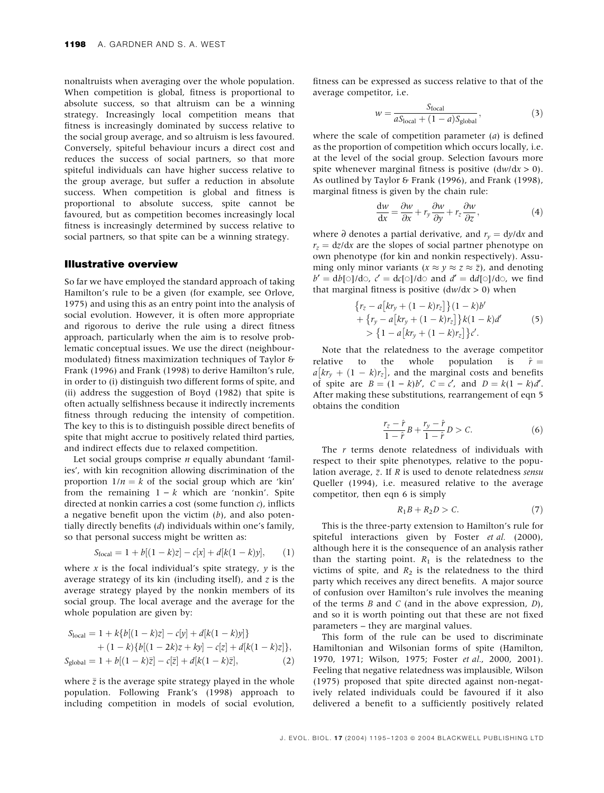nonaltruists when averaging over the whole population. When competition is global, fitness is proportional to absolute success, so that altruism can be a winning strategy. Increasingly local competition means that fitness is increasingly dominated by success relative to the social group average, and so altruism is less favoured. Conversely, spiteful behaviour incurs a direct cost and reduces the success of social partners, so that more spiteful individuals can have higher success relative to the group average, but suffer a reduction in absolute success. When competition is global and fitness is proportional to absolute success, spite cannot be favoured, but as competition becomes increasingly local fitness is increasingly determined by success relative to social partners, so that spite can be a winning strategy.

# Illustrative overview

So far we have employed the standard approach of taking Hamilton's rule to be a given (for example, see Orlove, 1975) and using this as an entry point into the analysis of social evolution. However, it is often more appropriate and rigorous to derive the rule using a direct fitness approach, particularly when the aim is to resolve problematic conceptual issues. We use the direct (neighbourmodulated) fitness maximization techniques of Taylor & Frank (1996) and Frank (1998) to derive Hamilton's rule, in order to (i) distinguish two different forms of spite, and (ii) address the suggestion of Boyd (1982) that spite is often actually selfishness because it indirectly increments fitness through reducing the intensity of competition. The key to this is to distinguish possible direct benefits of spite that might accrue to positively related third parties, and indirect effects due to relaxed competition.

Let social groups comprise  $n$  equally abundant 'families', with kin recognition allowing discrimination of the proportion  $1/n = k$  of the social group which are 'kin' from the remaining  $1 - k$  which are 'nonkin'. Spite directed at nonkin carries a cost (some function  $c$ ), inflicts a negative benefit upon the victim  $(b)$ , and also potentially directly benefits (d) individuals within one's family, so that personal success might be written as:

$$
S_{\text{focal}} = 1 + b[(1 - k)z] - c[x] + d[k(1 - k)y], \quad (1)
$$

where  $x$  is the focal individual's spite strategy,  $y$  is the average strategy of its kin (including itself), and  $z$  is the average strategy played by the nonkin members of its social group. The local average and the average for the whole population are given by:

$$
S_{\text{local}} = 1 + k\{b[(1-k)z] - c[y] + d[k(1-k)y]\}
$$
  
+ (1-k)\{b[(1-2k)z + ky] - c[z] + d[k(1-k)z]\},  

$$
S_{\text{global}} = 1 + b[(1-k)\overline{z}] - c[\overline{z}] + d[k(1-k)\overline{z}],
$$
 (2)

where  $\bar{z}$  is the average spite strategy played in the whole population. Following Frank's (1998) approach to including competition in models of social evolution, fitness can be expressed as success relative to that of the average competitor, i.e.

$$
w = \frac{S_{\text{focal}}}{a S_{\text{local}} + (1 - a) S_{\text{global}}},\tag{3}
$$

where the scale of competition parameter  $(a)$  is defined as the proportion of competition which occurs locally, i.e. at the level of the social group. Selection favours more spite whenever marginal fitness is positive  $(dw/dx > 0)$ . As outlined by Taylor & Frank (1996), and Frank (1998), marginal fitness is given by the chain rule:

$$
\frac{\mathrm{d}w}{\mathrm{d}x} = \frac{\partial w}{\partial x} + r_y \frac{\partial w}{\partial y} + r_z \frac{\partial w}{\partial z},\tag{4}
$$

where  $\partial$  denotes a partial derivative, and  $r_v = dy/dx$  and  $r<sub>z</sub> = dz/dx$  are the slopes of social partner phenotype on own phenotype (for kin and nonkin respectively). Assuming only minor variants ( $x \approx y \approx z \approx \overline{z}$ ), and denoting  $b' = db[\circ]/d\circ$ ,  $c' = dc[\circ]/d\circ$  and  $d' = dd[\circ]/d\circ$ , we find that marginal fitness is positive  $(dw/dx > 0)$  when

$$
\{r_z - a[kr_y + (1 - k)r_z]\}(1 - k)b'+ \{r_y - a[kr_y + (1 - k)r_z]\}(1 - k)d' > \{1 - a[kr_y + (1 - k)r_z]\}c'.
$$
 (5)

Note that the relatedness to the average competitor relative to the whole population is  $\hat{r} =$  $a[kr_y + (1 - k)r_z]$ , and the marginal costs and benefits of spite are  $B = (1 - k)b'$ ,  $C = c'$ , and  $D = k(1 - k)d'$ . After making these substitutions, rearrangement of eqn 5 obtains the condition

$$
\frac{r_z - \hat{r}}{1 - \hat{r}} B + \frac{r_y - \hat{r}}{1 - \hat{r}} D > C.
$$
 (6)

The  $r$  terms denote relatedness of individuals with respect to their spite phenotypes, relative to the population average,  $\bar{z}$ . If R is used to denote relatedness *sensu* Queller (1994), i.e. measured relative to the average competitor, then eqn 6 is simply

$$
R_1B + R_2D > C.\t\t(7)
$$

This is the three-party extension to Hamilton's rule for spiteful interactions given by Foster et al. (2000), although here it is the consequence of an analysis rather than the starting point.  $R_1$  is the relatedness to the victims of spite, and  $R_2$  is the relatedness to the third party which receives any direct benefits. A major source of confusion over Hamilton's rule involves the meaning of the terms  $B$  and  $C$  (and in the above expression,  $D$ ), and so it is worth pointing out that these are not fixed parameters – they are marginal values.

This form of the rule can be used to discriminate Hamiltonian and Wilsonian forms of spite (Hamilton, 1970, 1971; Wilson, 1975; Foster et al., 2000, 2001). Feeling that negative relatedness was implausible, Wilson (1975) proposed that spite directed against non-negatively related individuals could be favoured if it also delivered a benefit to a sufficiently positively related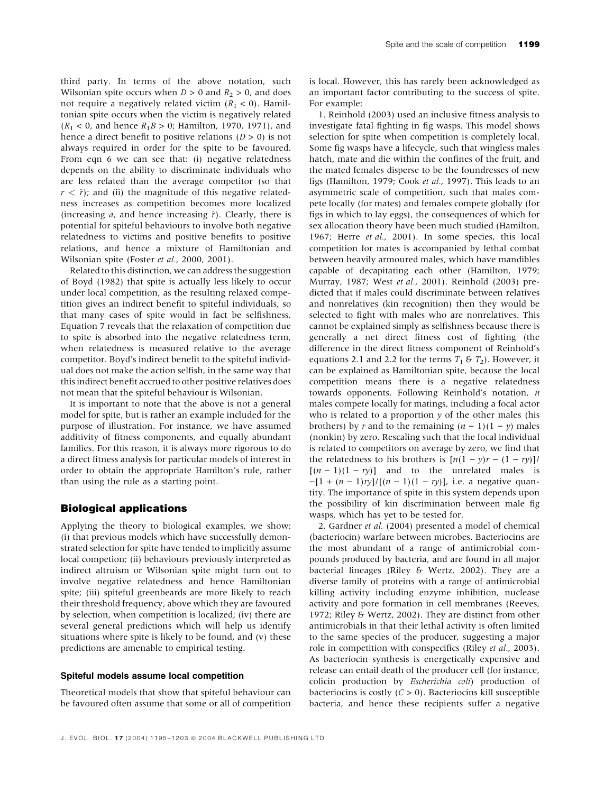third party. In terms of the above notation, such Wilsonian spite occurs when  $D > 0$  and  $R<sub>2</sub> > 0$ , and does not require a negatively related victim  $(R_1 < 0)$ . Hamiltonian spite occurs when the victim is negatively related  $(R_1 < 0$ , and hence  $R_1 B > 0$ ; Hamilton, 1970, 1971), and hence a direct benefit to positive relations  $(D > 0)$  is not always required in order for the spite to be favoured. From eqn 6 we can see that: (i) negative relatedness depends on the ability to discriminate individuals who are less related than the average competitor (so that  $r < \hat{r}$ ); and (ii) the magnitude of this negative relatedness increases as competition becomes more localized (increasing *a*, and hence increasing  $\hat{r}$ ). Clearly, there is potential for spiteful behaviours to involve both negative relatedness to victims and positive benefits to positive relations, and hence a mixture of Hamiltonian and Wilsonian spite (Foster et al., 2000, 2001).

Related to this distinction, we can address the suggestion of Boyd (1982) that spite is actually less likely to occur under local competition, as the resulting relaxed competition gives an indirect benefit to spiteful individuals, so that many cases of spite would in fact be selfishness. Equation 7 reveals that the relaxation of competition due to spite is absorbed into the negative relatedness term, when relatedness is measured relative to the average competitor. Boyd's indirect benefit to the spiteful individual does not make the action selfish, in the same way that this indirect benefit accrued to other positive relatives does not mean that the spiteful behaviour is Wilsonian.

It is important to note that the above is not a general model for spite, but is rather an example included for the purpose of illustration. For instance, we have assumed additivity of fitness components, and equally abundant families. For this reason, it is always more rigorous to do a direct fitness analysis for particular models of interest in order to obtain the appropriate Hamilton's rule, rather than using the rule as a starting point.

# Biological applications

Applying the theory to biological examples, we show: (i) that previous models which have successfully demonstrated selection for spite have tended to implicitly assume local competion; (ii) behaviours previously interpreted as indirect altruism or Wilsonian spite might turn out to involve negative relatedness and hence Hamiltonian spite; (iii) spiteful greenbeards are more likely to reach their threshold frequency, above which they are favoured by selection, when competition is localized; (iv) there are several general predictions which will help us identify situations where spite is likely to be found, and (v) these predictions are amenable to empirical testing.

#### Spiteful models assume local competition

Theoretical models that show that spiteful behaviour can be favoured often assume that some or all of competition is local. However, this has rarely been acknowledged as an important factor contributing to the success of spite. For example:

1. Reinhold (2003) used an inclusive fitness analysis to investigate fatal fighting in fig wasps. This model shows selection for spite when competition is completely local. Some fig wasps have a lifecycle, such that wingless males hatch, mate and die within the confines of the fruit, and the mated females disperse to be the foundresses of new figs (Hamilton, 1979; Cook et al., 1997). This leads to an asymmetric scale of competition, such that males compete locally (for mates) and females compete globally (for figs in which to lay eggs), the consequences of which for sex allocation theory have been much studied (Hamilton, 1967; Herre et al., 2001). In some species, this local competition for mates is accompanied by lethal combat between heavily armoured males, which have mandibles capable of decapitating each other (Hamilton, 1979; Murray, 1987; West et al., 2001). Reinhold (2003) predicted that if males could discriminate between relatives and nonrelatives (kin recognition) then they would be selected to fight with males who are nonrelatives. This cannot be explained simply as selfishness because there is generally a net direct fitness cost of fighting (the difference in the direct fitness component of Reinhold's equations 2.1 and 2.2 for the terms  $T_1 \& T_2$ ). However, it can be explained as Hamiltonian spite, because the local competition means there is a negative relatedness towards opponents. Following Reinhold's notation,  $n$ males compete locally for matings, including a focal actor who is related to a proportion  $y$  of the other males (his brothers) by r and to the remaining  $(n - 1)(1 - y)$  males (nonkin) by zero. Rescaling such that the focal individual is related to competitors on average by zero, we find that the relatedness to his brothers is  $[n(1 - y)r - (1 - ry)]/$  $[(n-1)(1 - ry)]$  and to the unrelated males is  $-[1 + (n - 1)ry]/[(n - 1)(1 - ry)]$ , i.e. a negative quantity. The importance of spite in this system depends upon the possibility of kin discrimination between male fig wasps, which has yet to be tested for.

2. Gardner et al. (2004) presented a model of chemical (bacteriocin) warfare between microbes. Bacteriocins are the most abundant of a range of antimicrobial compounds produced by bacteria, and are found in all major bacterial lineages (Riley & Wertz, 2002). They are a diverse family of proteins with a range of antimicrobial killing activity including enzyme inhibition, nuclease activity and pore formation in cell membranes (Reeves, 1972; Riley & Wertz, 2002). They are distinct from other antimicrobials in that their lethal activity is often limited to the same species of the producer, suggesting a major role in competition with conspecifics (Riley et al., 2003). As bacteriocin synthesis is energetically expensive and release can entail death of the producer cell (for instance, colicin production by Escherichia coli) production of bacteriocins is costly  $(C > 0)$ . Bacteriocins kill susceptible bacteria, and hence these recipients suffer a negative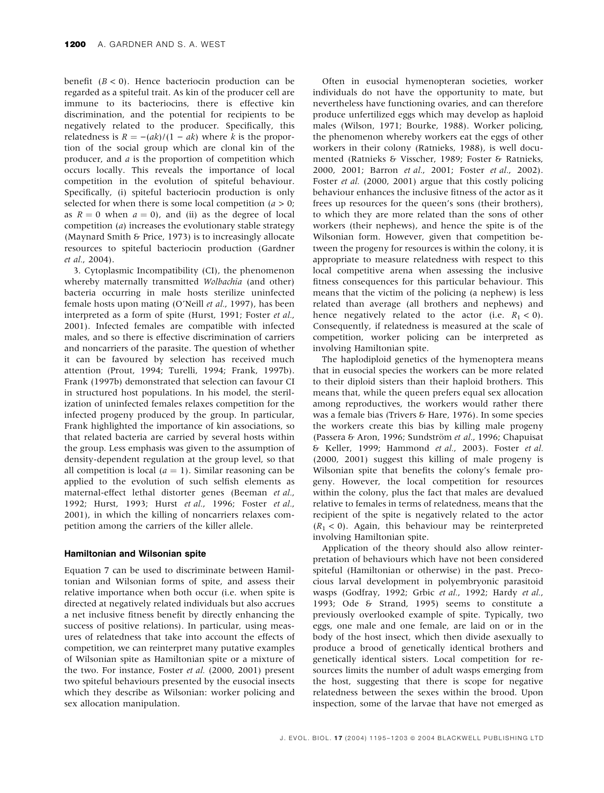benefit  $(B < 0)$ . Hence bacteriocin production can be regarded as a spiteful trait. As kin of the producer cell are immune to its bacteriocins, there is effective kin discrimination, and the potential for recipients to be negatively related to the producer. Specifically, this relatedness is  $R = -(ak)/(1 - ak)$  where k is the proportion of the social group which are clonal kin of the producer, and a is the proportion of competition which occurs locally. This reveals the importance of local competition in the evolution of spiteful behaviour. Specifically, (i) spiteful bacteriocin production is only selected for when there is some local competition  $(a > 0)$ : as  $R = 0$  when  $a = 0$ ), and (ii) as the degree of local competition (a) increases the evolutionary stable strategy (Maynard Smith & Price, 1973) is to increasingly allocate resources to spiteful bacteriocin production (Gardner et al., 2004).

3. Cytoplasmic Incompatibility (CI), the phenomenon whereby maternally transmitted Wolbachia (and other) bacteria occurring in male hosts sterilize uninfected female hosts upon mating (O'Neill et al., 1997), has been interpreted as a form of spite (Hurst, 1991; Foster et al., 2001). Infected females are compatible with infected males, and so there is effective discrimination of carriers and noncarriers of the parasite. The question of whether it can be favoured by selection has received much attention (Prout, 1994; Turelli, 1994; Frank, 1997b). Frank (1997b) demonstrated that selection can favour CI in structured host populations. In his model, the sterilization of uninfected females relaxes competition for the infected progeny produced by the group. In particular, Frank highlighted the importance of kin associations, so that related bacteria are carried by several hosts within the group. Less emphasis was given to the assumption of density-dependent regulation at the group level, so that all competition is local ( $a = 1$ ). Similar reasoning can be applied to the evolution of such selfish elements as maternal-effect lethal distorter genes (Beeman et al., 1992; Hurst, 1993; Hurst et al., 1996; Foster et al., 2001), in which the killing of noncarriers relaxes competition among the carriers of the killer allele.

#### Hamiltonian and Wilsonian spite

Equation 7 can be used to discriminate between Hamiltonian and Wilsonian forms of spite, and assess their relative importance when both occur (i.e. when spite is directed at negatively related individuals but also accrues a net inclusive fitness benefit by directly enhancing the success of positive relations). In particular, using measures of relatedness that take into account the effects of competition, we can reinterpret many putative examples of Wilsonian spite as Hamiltonian spite or a mixture of the two. For instance, Foster et al. (2000, 2001) present two spiteful behaviours presented by the eusocial insects which they describe as Wilsonian: worker policing and sex allocation manipulation.

Often in eusocial hymenopteran societies, worker individuals do not have the opportunity to mate, but nevertheless have functioning ovaries, and can therefore produce unfertilized eggs which may develop as haploid males (Wilson, 1971; Bourke, 1988). Worker policing, the phenomenon whereby workers eat the eggs of other workers in their colony (Ratnieks, 1988), is well documented (Ratnieks & Visscher, 1989; Foster & Ratnieks, 2000, 2001; Barron et al., 2001; Foster et al., 2002). Foster et al. (2000, 2001) argue that this costly policing behaviour enhances the inclusive fitness of the actor as it frees up resources for the queen's sons (their brothers), to which they are more related than the sons of other workers (their nephews), and hence the spite is of the Wilsonian form. However, given that competition between the progeny for resources is within the colony, it is appropriate to measure relatedness with respect to this local competitive arena when assessing the inclusive fitness consequences for this particular behaviour. This means that the victim of the policing (a nephew) is less related than average (all brothers and nephews) and hence negatively related to the actor (i.e.  $R_1 < 0$ ). Consequently, if relatedness is measured at the scale of competition, worker policing can be interpreted as involving Hamiltonian spite.

The haplodiploid genetics of the hymenoptera means that in eusocial species the workers can be more related to their diploid sisters than their haploid brothers. This means that, while the queen prefers equal sex allocation among reproductives, the workers would rather there was a female bias (Trivers & Hare, 1976). In some species the workers create this bias by killing male progeny (Passera & Aron, 1996; Sundström et al., 1996; Chapuisat & Keller, 1999; Hammond et al., 2003). Foster et al. (2000, 2001) suggest this killing of male progeny is Wilsonian spite that benefits the colony's female progeny. However, the local competition for resources within the colony, plus the fact that males are devalued relative to females in terms of relatedness, means that the recipient of the spite is negatively related to the actor  $(R_1 < 0)$ . Again, this behaviour may be reinterpreted involving Hamiltonian spite.

Application of the theory should also allow reinterpretation of behaviours which have not been considered spiteful (Hamiltonian or otherwise) in the past. Precocious larval development in polyembryonic parasitoid wasps (Godfray, 1992; Grbic et al., 1992; Hardy et al., 1993; Ode & Strand, 1995) seems to constitute a previously overlooked example of spite. Typically, two eggs, one male and one female, are laid on or in the body of the host insect, which then divide asexually to produce a brood of genetically identical brothers and genetically identical sisters. Local competition for resources limits the number of adult wasps emerging from the host, suggesting that there is scope for negative relatedness between the sexes within the brood. Upon inspection, some of the larvae that have not emerged as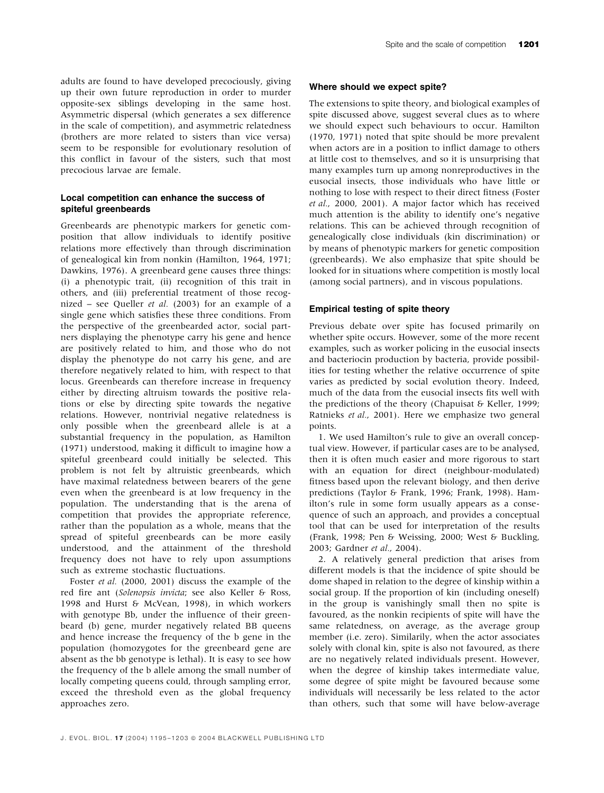adults are found to have developed precociously, giving up their own future reproduction in order to murder opposite-sex siblings developing in the same host. Asymmetric dispersal (which generates a sex difference in the scale of competition), and asymmetric relatedness (brothers are more related to sisters than vice versa) seem to be responsible for evolutionary resolution of this conflict in favour of the sisters, such that most precocious larvae are female.

# Local competition can enhance the success of spiteful greenbeards

Greenbeards are phenotypic markers for genetic composition that allow individuals to identify positive relations more effectively than through discrimination of genealogical kin from nonkin (Hamilton, 1964, 1971; Dawkins, 1976). A greenbeard gene causes three things: (i) a phenotypic trait, (ii) recognition of this trait in others, and (iii) preferential treatment of those recognized – see Queller et al. (2003) for an example of a single gene which satisfies these three conditions. From the perspective of the greenbearded actor, social partners displaying the phenotype carry his gene and hence are positively related to him, and those who do not display the phenotype do not carry his gene, and are therefore negatively related to him, with respect to that locus. Greenbeards can therefore increase in frequency either by directing altruism towards the positive relations or else by directing spite towards the negative relations. However, nontrivial negative relatedness is only possible when the greenbeard allele is at a substantial frequency in the population, as Hamilton (1971) understood, making it difficult to imagine how a spiteful greenbeard could initially be selected. This problem is not felt by altruistic greenbeards, which have maximal relatedness between bearers of the gene even when the greenbeard is at low frequency in the population. The understanding that is the arena of competition that provides the appropriate reference, rather than the population as a whole, means that the spread of spiteful greenbeards can be more easily understood, and the attainment of the threshold frequency does not have to rely upon assumptions such as extreme stochastic fluctuations.

Foster et al. (2000, 2001) discuss the example of the red fire ant (Solenopsis invicta; see also Keller & Ross, 1998 and Hurst & McVean, 1998), in which workers with genotype Bb, under the influence of their greenbeard (b) gene, murder negatively related BB queens and hence increase the frequency of the b gene in the population (homozygotes for the greenbeard gene are absent as the bb genotype is lethal). It is easy to see how the frequency of the b allele among the small number of locally competing queens could, through sampling error, exceed the threshold even as the global frequency approaches zero.

#### Where should we expect spite?

The extensions to spite theory, and biological examples of spite discussed above, suggest several clues as to where we should expect such behaviours to occur. Hamilton (1970, 1971) noted that spite should be more prevalent when actors are in a position to inflict damage to others at little cost to themselves, and so it is unsurprising that many examples turn up among nonreproductives in the eusocial insects, those individuals who have little or nothing to lose with respect to their direct fitness (Foster et al., 2000, 2001). A major factor which has received much attention is the ability to identify one's negative relations. This can be achieved through recognition of genealogically close individuals (kin discrimination) or by means of phenotypic markers for genetic composition (greenbeards). We also emphasize that spite should be looked for in situations where competition is mostly local (among social partners), and in viscous populations.

## Empirical testing of spite theory

Previous debate over spite has focused primarily on whether spite occurs. However, some of the more recent examples, such as worker policing in the eusocial insects and bacteriocin production by bacteria, provide possibilities for testing whether the relative occurrence of spite varies as predicted by social evolution theory. Indeed, much of the data from the eusocial insects fits well with the predictions of the theory (Chapuisat & Keller, 1999; Ratnieks et al., 2001). Here we emphasize two general points.

1. We used Hamilton's rule to give an overall conceptual view. However, if particular cases are to be analysed, then it is often much easier and more rigorous to start with an equation for direct (neighbour-modulated) fitness based upon the relevant biology, and then derive predictions (Taylor & Frank, 1996; Frank, 1998). Hamilton's rule in some form usually appears as a consequence of such an approach, and provides a conceptual tool that can be used for interpretation of the results (Frank, 1998; Pen & Weissing, 2000; West & Buckling, 2003; Gardner et al., 2004).

2. A relatively general prediction that arises from different models is that the incidence of spite should be dome shaped in relation to the degree of kinship within a social group. If the proportion of kin (including oneself) in the group is vanishingly small then no spite is favoured, as the nonkin recipients of spite will have the same relatedness, on average, as the average group member (i.e. zero). Similarily, when the actor associates solely with clonal kin, spite is also not favoured, as there are no negatively related individuals present. However, when the degree of kinship takes intermediate value, some degree of spite might be favoured because some individuals will necessarily be less related to the actor than others, such that some will have below-average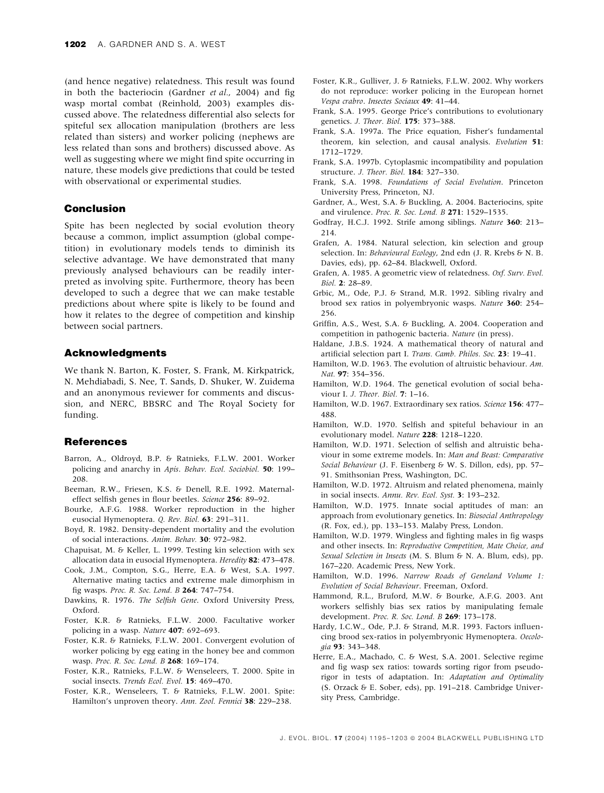(and hence negative) relatedness. This result was found in both the bacteriocin (Gardner et al., 2004) and fig wasp mortal combat (Reinhold, 2003) examples discussed above. The relatedness differential also selects for spiteful sex allocation manipulation (brothers are less related than sisters) and worker policing (nephews are less related than sons and brothers) discussed above. As well as suggesting where we might find spite occurring in nature, these models give predictions that could be tested with observational or experimental studies.

# Conclusion

Spite has been neglected by social evolution theory because a common, implict assumption (global competition) in evolutionary models tends to diminish its selective advantage. We have demonstrated that many previously analysed behaviours can be readily interpreted as involving spite. Furthermore, theory has been developed to such a degree that we can make testable predictions about where spite is likely to be found and how it relates to the degree of competition and kinship between social partners.

# Acknowledgments

We thank N. Barton, K. Foster, S. Frank, M. Kirkpatrick, N. Mehdiabadi, S. Nee, T. Sands, D. Shuker, W. Zuidema and an anonymous reviewer for comments and discussion, and NERC, BBSRC and The Royal Society for funding.

# References

- Barron, A., Oldroyd, B.P. & Ratnieks, F.L.W. 2001. Worker policing and anarchy in Apis. Behav. Ecol. Sociobiol. 50: 199– 208.
- Beeman, R.W., Friesen, K.S. & Denell, R.E. 1992. Maternaleffect selfish genes in flour beetles. Science 256: 89–92.
- Bourke, A.F.G. 1988. Worker reproduction in the higher eusocial Hymenoptera. Q. Rev. Biol. 63: 291–311.
- Boyd, R. 1982. Density-dependent mortality and the evolution of social interactions. Anim. Behav. 30: 972–982.
- Chapuisat, M. & Keller, L. 1999. Testing kin selection with sex allocation data in eusocial Hymenoptera. Heredity 82: 473–478.
- Cook, J.M., Compton, S.G., Herre, E.A. & West, S.A. 1997. Alternative mating tactics and extreme male dimorphism in fig wasps. Proc. R. Soc. Lond. B 264: 747–754.
- Dawkins, R. 1976. The Selfish Gene. Oxford University Press, Oxford.
- Foster, K.R. & Ratnieks, F.L.W. 2000. Facultative worker policing in a wasp. Nature 407: 692–693.
- Foster, K.R. & Ratnieks, F.L.W. 2001. Convergent evolution of worker policing by egg eating in the honey bee and common wasp. Proc. R. Soc. Lond. B 268: 169–174.
- Foster, K.R., Ratnieks, F.L.W. & Wenseleers, T. 2000. Spite in social insects. Trends Ecol. Evol. 15: 469-470.
- Foster, K.R., Wenseleers, T. & Ratnieks, F.L.W. 2001. Spite: Hamilton's unproven theory. Ann. Zool. Fennici 38: 229–238.
- Foster, K.R., Gulliver, J. & Ratnieks, F.L.W. 2002. Why workers do not reproduce: worker policing in the European hornet Vespa crabro. Insectes Sociaux 49: 41–44.
- Frank, S.A. 1995. George Price's contributions to evolutionary genetics. J. Theor. Biol. 175: 373–388.
- Frank, S.A. 1997a. The Price equation, Fisher's fundamental theorem, kin selection, and causal analysis. Evolution 51: 1712–1729.
- Frank, S.A. 1997b. Cytoplasmic incompatibility and population structure. J. Theor. Biol. 184: 327-330.
- Frank, S.A. 1998. Foundations of Social Evolution. Princeton University Press, Princeton, NJ.
- Gardner, A., West, S.A. & Buckling, A. 2004. Bacteriocins, spite and virulence. Proc. R. Soc. Lond. B 271: 1529–1535.
- Godfray, H.C.J. 1992. Strife among siblings. Nature 360: 213– 214.
- Grafen, A. 1984. Natural selection, kin selection and group selection. In: Behavioural Ecology, 2nd edn (J. R. Krebs & N. B. Davies, eds), pp. 62–84. Blackwell, Oxford.
- Grafen, A. 1985. A geometric view of relatedness. Oxf. Surv. Evol. Biol. 2: 28–89.
- Grbic, M., Ode, P.J. & Strand, M.R. 1992. Sibling rivalry and brood sex ratios in polyembryonic wasps. Nature 360: 254– 256.
- Griffin, A.S., West, S.A. & Buckling, A. 2004. Cooperation and competition in pathogenic bacteria. Nature (in press).
- Haldane, J.B.S. 1924. A mathematical theory of natural and artificial selection part I. Trans. Camb. Philos. Soc. 23: 19–41.
- Hamilton, W.D. 1963. The evolution of altruistic behaviour. Am. Nat. 97: 354–356.
- Hamilton, W.D. 1964. The genetical evolution of social behaviour I. J. Theor. Biol. 7: 1–16.
- Hamilton, W.D. 1967. Extraordinary sex ratios. Science 156: 477-488.
- Hamilton, W.D. 1970. Selfish and spiteful behaviour in an evolutionary model. Nature 228: 1218–1220.
- Hamilton, W.D. 1971. Selection of selfish and altruistic behaviour in some extreme models. In: Man and Beast: Comparative Social Behaviour (J. F. Eisenberg & W. S. Dillon, eds), pp. 57– 91. Smithsonian Press, Washington, DC.
- Hamilton, W.D. 1972. Altruism and related phenomena, mainly in social insects. Annu. Rev. Ecol. Syst. 3: 193–232.
- Hamilton, W.D. 1975. Innate social aptitudes of man: an approach from evolutionary genetics. In: Biosocial Anthropology (R. Fox, ed.), pp. 133–153. Malaby Press, London.
- Hamilton, W.D. 1979. Wingless and fighting males in fig wasps and other insects. In: Reproductive Competition, Mate Choice, and Sexual Selection in Insects (M. S. Blum & N. A. Blum, eds), pp. 167–220. Academic Press, New York.
- Hamilton, W.D. 1996. Narrow Roads of Geneland Volume 1: Evolution of Social Behaviour. Freeman, Oxford.
- Hammond, R.L., Bruford, M.W. & Bourke, A.F.G. 2003. Ant workers selfishly bias sex ratios by manipulating female development. Proc. R. Soc. Lond. B 269: 173–178.
- Hardy, I.C.W., Ode, P.J. & Strand, M.R. 1993. Factors influencing brood sex-ratios in polyembryonic Hymenoptera. Oecologia 93: 343–348.
- Herre, E.A., Machado, C. & West, S.A. 2001. Selective regime and fig wasp sex ratios: towards sorting rigor from pseudorigor in tests of adaptation. In: Adaptation and Optimality (S. Orzack & E. Sober, eds), pp. 191–218. Cambridge University Press, Cambridge.